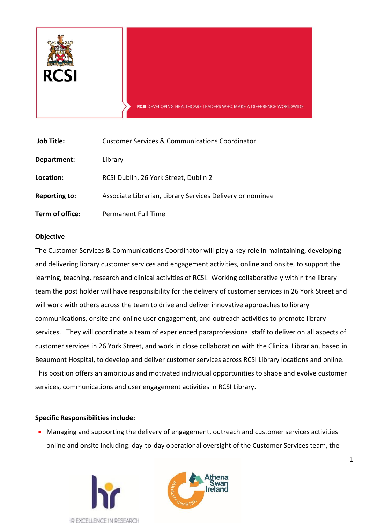

| <b>Job Title:</b>    | <b>Customer Services &amp; Communications Coordinator</b> |
|----------------------|-----------------------------------------------------------|
| Department:          | Library                                                   |
| Location:            | RCSI Dublin, 26 York Street, Dublin 2                     |
| <b>Reporting to:</b> | Associate Librarian, Library Services Delivery or nominee |
| Term of office:      | <b>Permanent Full Time</b>                                |

### **Objective**

The Customer Services & Communications Coordinator will play a key role in maintaining, developing and delivering library customer services and engagement activities, online and onsite, to support the learning, teaching, research and clinical activities of RCSI. Working collaboratively within the library team the post holder will have responsibility for the delivery of customer services in 26 York Street and will work with others across the team to drive and deliver innovative approaches to library communications, onsite and online user engagement, and outreach activities to promote library services. They will coordinate a team of experienced paraprofessional staff to deliver on all aspects of customer services in 26 York Street, and work in close collaboration with the Clinical Librarian, based in Beaumont Hospital, to develop and deliver customer services across RCSI Library locations and online. This position offers an ambitious and motivated individual opportunities to shape and evolve customer services, communications and user engagement activities in RCSI Library.

### **Specific Responsibilities include:**

 Managing and supporting the delivery of engagement, outreach and customer services activities online and onsite including: day-to-day operational oversight of the Customer Services team, the



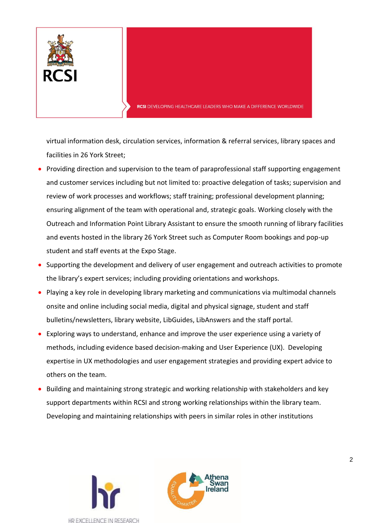

virtual information desk, circulation services, information & referral services, library spaces and facilities in 26 York Street;

- Providing direction and supervision to the team of paraprofessional staff supporting engagement and customer services including but not limited to: proactive delegation of tasks; supervision and review of work processes and workflows; staff training; professional development planning; ensuring alignment of the team with operational and, strategic goals. Working closely with the Outreach and Information Point Library Assistant to ensure the smooth running of library facilities and events hosted in the library 26 York Street such as Computer Room bookings and pop-up student and staff events at the Expo Stage.
- Supporting the development and delivery of user engagement and outreach activities to promote the library's expert services; including providing orientations and workshops.
- Playing a key role in developing library marketing and communications via multimodal channels onsite and online including social media, digital and physical signage, student and staff bulletins/newsletters, library website, LibGuides, LibAnswers and the staff portal.
- Exploring ways to understand, enhance and improve the user experience using a variety of methods, including evidence based decision-making and User Experience (UX). Developing expertise in UX methodologies and user engagement strategies and providing expert advice to others on the team.
- **Building and maintaining strong strategic and working relationship with stakeholders and key** support departments within RCSI and strong working relationships within the library team. Developing and maintaining relationships with peers in similar roles in other institutions



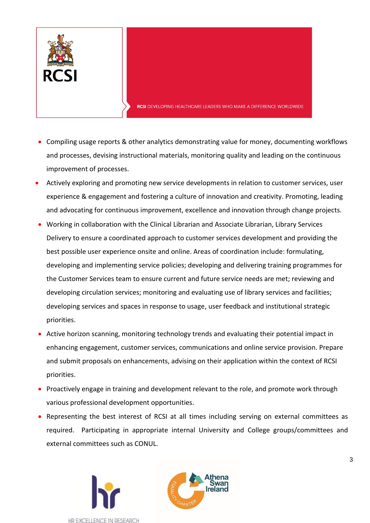

- Compiling usage reports & other analytics demonstrating value for money, documenting workflows and processes, devising instructional materials, monitoring quality and leading on the continuous improvement of processes.
- Actively exploring and promoting new service developments in relation to customer services, user experience & engagement and fostering a culture of innovation and creativity. Promoting, leading and advocating for continuous improvement, excellence and innovation through change projects.
- Working in collaboration with the Clinical Librarian and Associate Librarian, Library Services Delivery to ensure a coordinated approach to customer services development and providing the best possible user experience onsite and online. Areas of coordination include: formulating, developing and implementing service policies; developing and delivering training programmes for the Customer Services team to ensure current and future service needs are met; reviewing and developing circulation services; monitoring and evaluating use of library services and facilities; developing services and spaces in response to usage, user feedback and institutional strategic priorities.
- Active horizon scanning, monitoring technology trends and evaluating their potential impact in enhancing engagement, customer services, communications and online service provision. Prepare and submit proposals on enhancements, advising on their application within the context of RCSI priorities.
- Proactively engage in training and development relevant to the role, and promote work through various professional development opportunities.
- Representing the best interest of RCSI at all times including serving on external committees as required. Participating in appropriate internal University and College groups/committees and external committees such as CONUL.



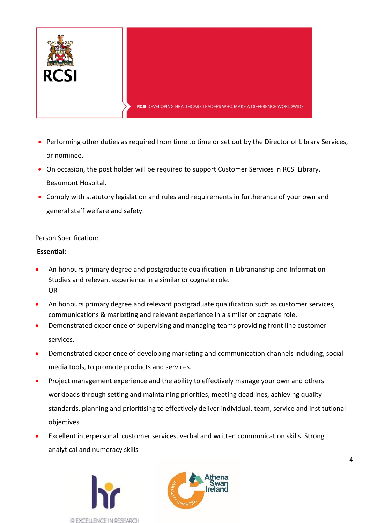

- Performing other duties as required from time to time or set out by the Director of Library Services, or nominee.
- On occasion, the post holder will be required to support Customer Services in RCSI Library, Beaumont Hospital.
- Comply with statutory legislation and rules and requirements in furtherance of your own and general staff welfare and safety.

Person Specification:

## **Essential:**

- An honours primary degree and postgraduate qualification in Librarianship and Information Studies and relevant experience in a similar or cognate role. OR
- An honours primary degree and relevant postgraduate qualification such as customer services, communications & marketing and relevant experience in a similar or cognate role.
- Demonstrated experience of supervising and managing teams providing front line customer services.
- Demonstrated experience of developing marketing and communication channels including, social media tools, to promote products and services.
- Project management experience and the ability to effectively manage your own and others workloads through setting and maintaining priorities, meeting deadlines, achieving quality standards, planning and prioritising to effectively deliver individual, team, service and institutional objectives
- Excellent interpersonal, customer services, verbal and written communication skills. Strong analytical and numeracy skills



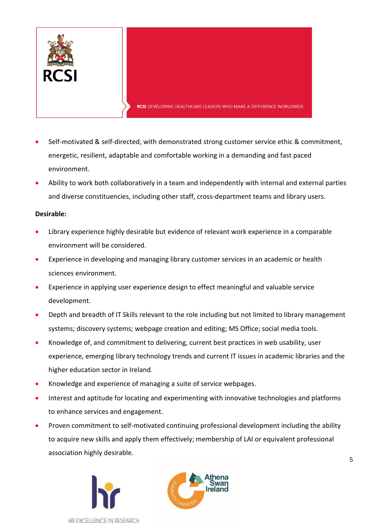

- Self-motivated & self-directed, with demonstrated strong customer service ethic & commitment, energetic, resilient, adaptable and comfortable working in a demanding and fast paced environment.
- Ability to work both collaboratively in a team and independently with internal and external parties and diverse constituencies, including other staff, cross-department teams and library users.

# **Desirable:**

- Library experience highly desirable but evidence of relevant work experience in a comparable environment will be considered.
- Experience in developing and managing library customer services in an academic or health sciences environment.
- Experience in applying user experience design to effect meaningful and valuable service development.
- Depth and breadth of IT Skills relevant to the role including but not limited to library management systems; discovery systems; webpage creation and editing; MS Office; social media tools.
- Knowledge of, and commitment to delivering, current best practices in web usability, user experience, emerging library technology trends and current IT issues in academic libraries and the higher education sector in Ireland.
- Knowledge and experience of managing a suite of service webpages.
- Interest and aptitude for locating and experimenting with innovative technologies and platforms to enhance services and engagement.
- Proven commitment to self-motivated continuing professional development including the ability to acquire new skills and apply them effectively; membership of LAI or equivalent professional association highly desirable.



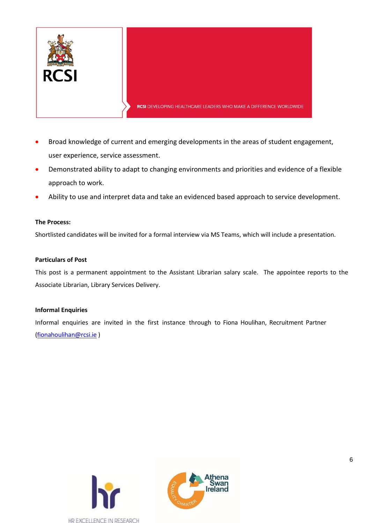

- Broad knowledge of current and emerging developments in the areas of student engagement, user experience, service assessment.
- Demonstrated ability to adapt to changing environments and priorities and evidence of a flexible approach to work.
- Ability to use and interpret data and take an evidenced based approach to service development.

### **The Process:**

Shortlisted candidates will be invited for a formal interview via MS Teams, which will include a presentation.

#### **Particulars of Post**

This post is a permanent appointment to the Assistant Librarian salary scale. The appointee reports to the Associate Librarian, Library Services Delivery.

### **Informal Enquiries**

Informal enquiries are invited in the first instance through to Fiona Houlihan, Recruitment Partner [\(fionahoulihan@rcsi.ie](mailto:fionahoulihan@rcsi.ie) )



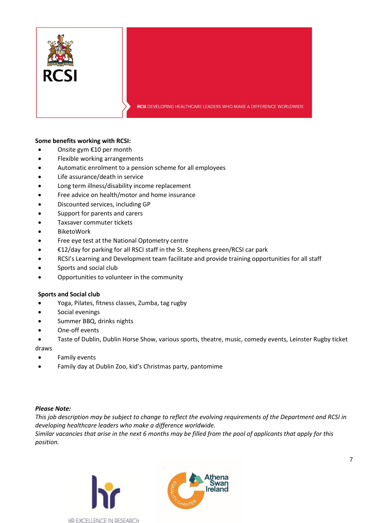

#### **Some benefits working with RCSI:**

- Onsite gym €10 per month
- Flexible working arrangements
- Automatic enrolment to a pension scheme for all employees
- Life assurance/death in service
- Long term illness/disability income replacement
- Free advice on health/motor and home insurance
- Discounted services, including GP
- Support for parents and carers
- Taxsaver commuter tickets
- BiketoWork
- Free eye test at the National Optometry centre
- €12/day for parking for all RSCI staff in the St. Stephens green/RCSI car park
- RCSI's Learning and Development team facilitate and provide training opportunities for all staff
- Sports and social club
- Opportunities to volunteer in the community

### **Sports and Social club**

- Yoga, Pilates, fitness classes, Zumba, tag rugby
- Social evenings
- Summer BBQ, drinks nights
- One-off events
- Taste of Dublin, Dublin Horse Show, various sports, theatre, music, comedy events, Leinster Rugby ticket

draws

- Family events
- Family day at Dublin Zoo, kid's Christmas party, pantomime

### *Please Note:*

*This job description may be subject to change to reflect the evolving requirements of the Department and RCSI in developing healthcare leaders who make a difference worldwide.*

*Similar vacancies that arise in the next 6 months may be filled from the pool of applicants that apply for this position.*